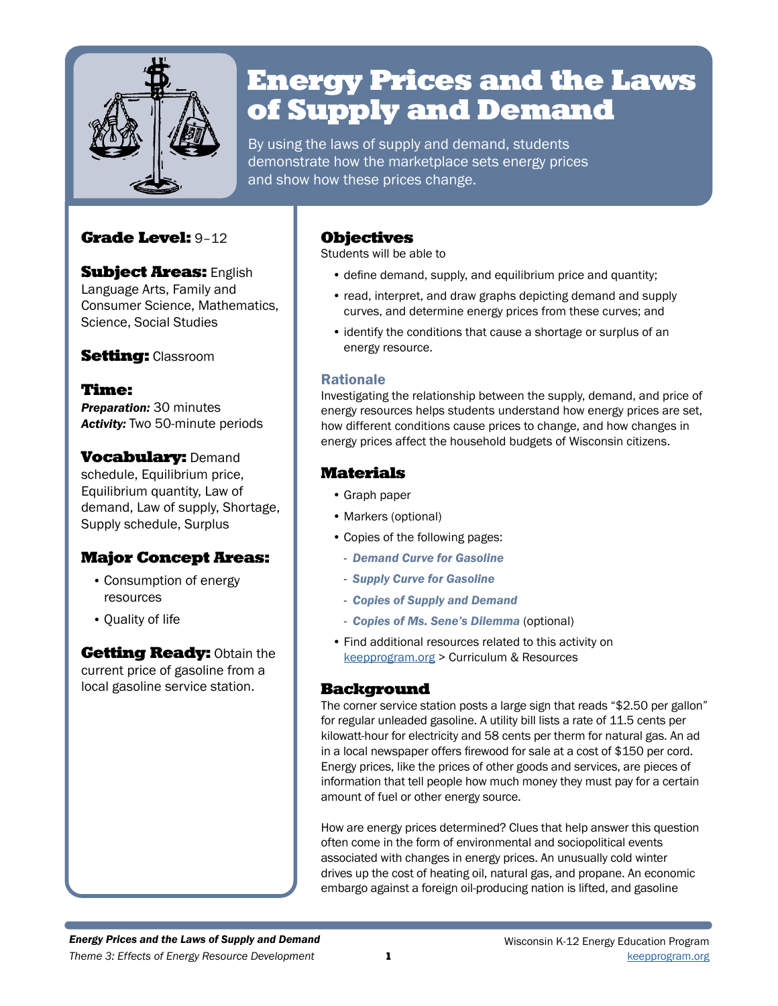

# Energy Prices and the Laws of Supply and Demand

By using the laws of supply and demand, students demonstrate how the marketplace sets energy prices and show how these prices change.

## Grade Level: 9–12

**Subject Areas: English** Language Arts, Family and Consumer Science, Mathematics, Science, Social Studies

## **Setting: Classroom**

Time: *Preparation:* 30 minutes *Activity:* Two 50-minute periods

**Vocabulary: Demand** schedule, Equilibrium price, Equilibrium quantity, Law of demand, Law of supply, Shortage, Supply schedule, Surplus

## Major Concept Areas:

- Consumption of energy resources
- Quality of life

**Getting Ready: Obtain the** current price of gasoline from a local gasoline service station.

## Objectives

Students will be able to

- define demand, supply, and equilibrium price and quantity;
- read, interpret, and draw graphs depicting demand and supply curves, and determine energy prices from these curves; and
- identify the conditions that cause a shortage or surplus of an energy resource.

### Rationale

Investigating the relationship between the supply, demand, and price of energy resources helps students understand how energy prices are set, how different conditions cause prices to change, and how changes in energy prices affect the household budgets of Wisconsin citizens.

## Materials

- Graph paper
- Markers (optional)
- Copies of the following pages:
	- *Demand Curve for Gasoline*
	- *Supply Curve for Gasoline*
	- *Copies of Supply and Demand*
	- *Copies of Ms. Sene's Dilemma* (optional)
- Find additional resources related to this activity on keepprogram.org > Curriculum & Resources

### Background

The corner service station posts a large sign that reads "\$2.50 per gallon" for regular unleaded gasoline. A utility bill lists a rate of 11.5 cents per kilowatt-hour for electricity and 58 cents per therm for natural gas. An ad in a local newspaper offers firewood for sale at a cost of \$150 per cord. Energy prices, like the prices of other goods and services, are pieces of information that tell people how much money they must pay for a certain amount of fuel or other energy source.

How are energy prices determined? Clues that help answer this question often come in the form of environmental and sociopolitical events associated with changes in energy prices. An unusually cold winter drives up the cost of heating oil, natural gas, and propane. An economic embargo against a foreign oil-producing nation is lifted, and gasoline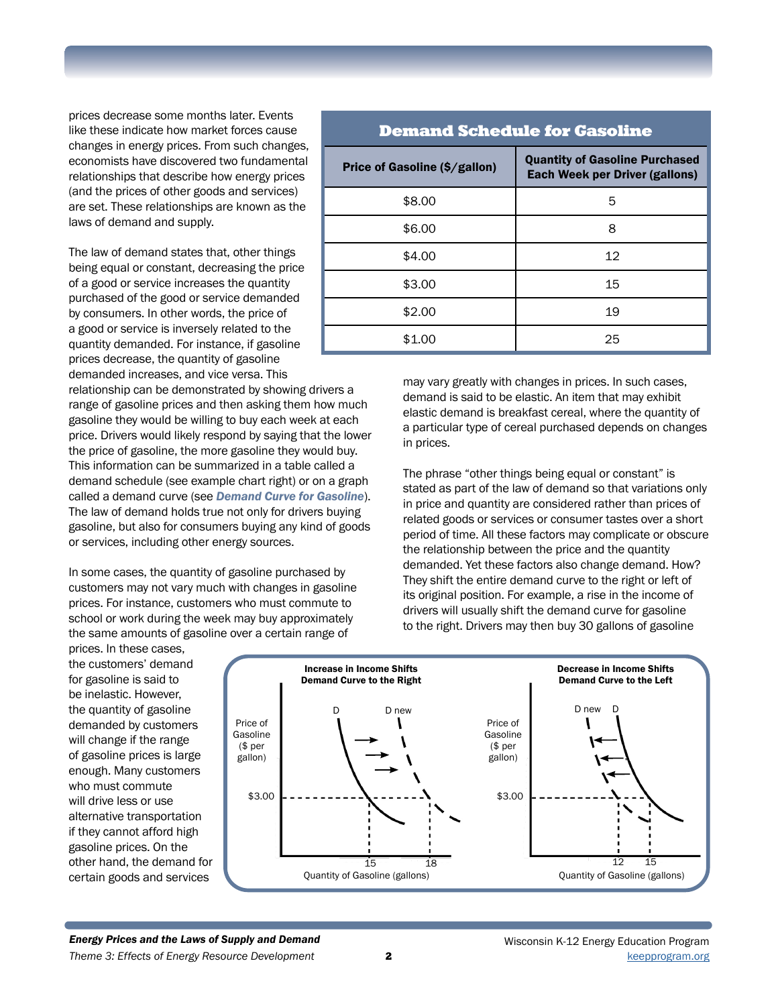prices decrease some months later. Events like these indicate how market forces cause changes in energy prices. From such changes, economists have discovered two fundamental relationships that describe how energy prices (and the prices of other goods and services) are set. These relationships are known as the laws of demand and supply.

The law of demand states that, other things being equal or constant, decreasing the price of a good or service increases the quantity purchased of the good or service demanded by consumers. In other words, the price of a good or service is inversely related to the quantity demanded. For instance, if gasoline prices decrease, the quantity of gasoline demanded increases, and vice versa. This

relationship can be demonstrated by showing drivers a range of gasoline prices and then asking them how much gasoline they would be willing to buy each week at each price. Drivers would likely respond by saying that the lower the price of gasoline, the more gasoline they would buy. This information can be summarized in a table called a demand schedule (see example chart right) or on a graph called a demand curve (see *Demand Curve for Gasoline*). The law of demand holds true not only for drivers buying gasoline, but also for consumers buying any kind of goods or services, including other energy sources.

In some cases, the quantity of gasoline purchased by customers may not vary much with changes in gasoline prices. For instance, customers who must commute to school or work during the week may buy approximately the same amounts of gasoline over a certain range of

prices. In these cases, the customers' demand for gasoline is said to be inelastic. However, the quantity of gasoline demanded by customers will change if the range of gasoline prices is large enough. Many customers who must commute will drive less or use alternative transportation if they cannot afford high gasoline prices. On the other hand, the demand for certain goods and services

| <b>Demand Schedule for Gasoline</b> |                                                                                |  |  |
|-------------------------------------|--------------------------------------------------------------------------------|--|--|
| Price of Gasoline (\$/gallon)       | <b>Quantity of Gasoline Purchased</b><br><b>Each Week per Driver (gallons)</b> |  |  |
| \$8.00                              | 5                                                                              |  |  |
| \$6.00                              | 8                                                                              |  |  |
| \$4.00                              | 12                                                                             |  |  |
| \$3.00                              | 15                                                                             |  |  |
| \$2.00                              | 19                                                                             |  |  |
| \$1.00                              | 25                                                                             |  |  |

may vary greatly with changes in prices. In such cases, demand is said to be elastic. An item that may exhibit elastic demand is breakfast cereal, where the quantity of a particular type of cereal purchased depends on changes in prices.

The phrase "other things being equal or constant" is stated as part of the law of demand so that variations only in price and quantity are considered rather than prices of related goods or services or consumer tastes over a short period of time. All these factors may complicate or obscure the relationship between the price and the quantity demanded. Yet these factors also change demand. How? They shift the entire demand curve to the right or left of its original position. For example, a rise in the income of drivers will usually shift the demand curve for gasoline to the right. Drivers may then buy 30 gallons of gasoline

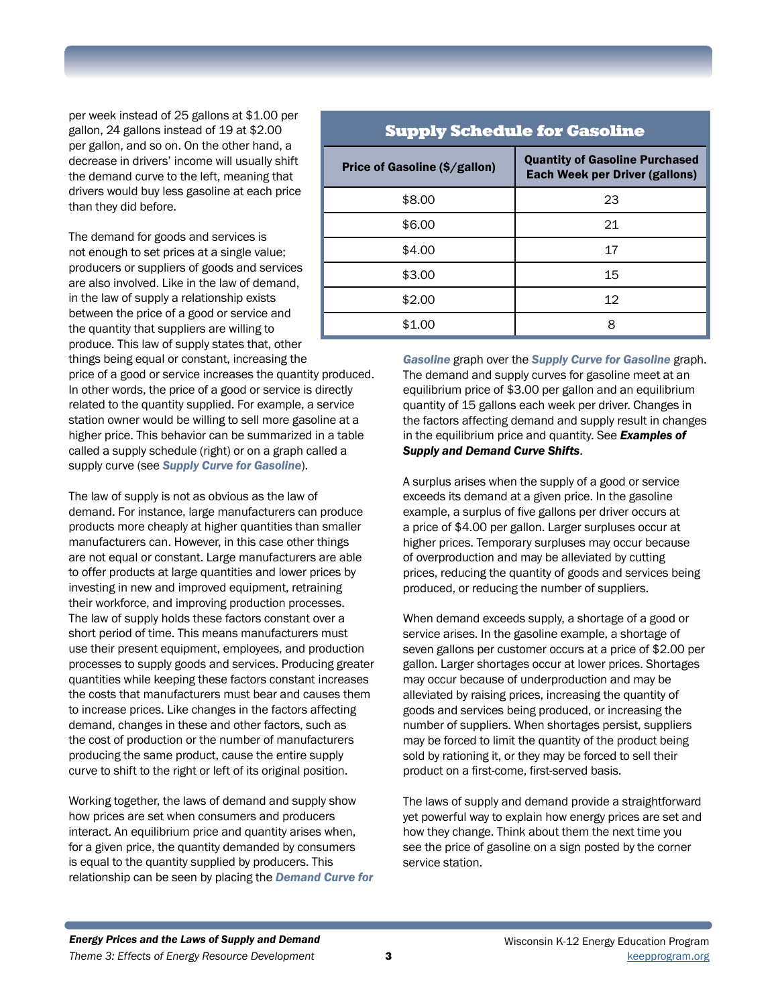per week instead of 25 gallons at \$1.00 per gallon, 24 gallons instead of 19 at \$2.00 per gallon, and so on. On the other hand, a decrease in drivers' income will usually shift the demand curve to the left, meaning that drivers would buy less gasoline at each price than they did before.

The demand for goods and services is not enough to set prices at a single value; producers or suppliers of goods and services are also involved. Like in the law of demand, in the law of supply a relationship exists between the price of a good or service and the quantity that suppliers are willing to produce. This law of supply states that, other things being equal or constant, increasing the

price of a good or service increases the quantity produced. In other words, the price of a good or service is directly related to the quantity supplied. For example, a service station owner would be willing to sell more gasoline at a higher price. This behavior can be summarized in a table called a supply schedule (right) or on a graph called a supply curve (see *Supply Curve for Gasoline*).

The law of supply is not as obvious as the law of demand. For instance, large manufacturers can produce products more cheaply at higher quantities than smaller manufacturers can. However, in this case other things are not equal or constant. Large manufacturers are able to offer products at large quantities and lower prices by investing in new and improved equipment, retraining their workforce, and improving production processes. The law of supply holds these factors constant over a short period of time. This means manufacturers must use their present equipment, employees, and production processes to supply goods and services. Producing greater quantities while keeping these factors constant increases the costs that manufacturers must bear and causes them to increase prices. Like changes in the factors affecting demand, changes in these and other factors, such as the cost of production or the number of manufacturers producing the same product, cause the entire supply curve to shift to the right or left of its original position.

Working together, the laws of demand and supply show how prices are set when consumers and producers interact. An equilibrium price and quantity arises when, for a given price, the quantity demanded by consumers is equal to the quantity supplied by producers. This relationship can be seen by placing the *Demand Curve for* 

| <b>Supply Schedule for Gasoline</b>  |                                                                                |  |  |
|--------------------------------------|--------------------------------------------------------------------------------|--|--|
| <b>Price of Gasoline (\$/gallon)</b> | <b>Quantity of Gasoline Purchased</b><br><b>Each Week per Driver (gallons)</b> |  |  |
| \$8.00                               | 23                                                                             |  |  |
| \$6.00                               | 21                                                                             |  |  |
| \$4.00                               | 17                                                                             |  |  |
| \$3.00                               | 15                                                                             |  |  |
| \$2.00                               | 12                                                                             |  |  |
| \$1.00                               | 8                                                                              |  |  |

*Gasoline* graph over the *Supply Curve for Gasoline* graph. The demand and supply curves for gasoline meet at an equilibrium price of \$3.00 per gallon and an equilibrium quantity of 15 gallons each week per driver. Changes in the factors affecting demand and supply result in changes in the equilibrium price and quantity. See *Examples of Supply and Demand Curve Shifts*.

A surplus arises when the supply of a good or service exceeds its demand at a given price. In the gasoline example, a surplus of five gallons per driver occurs at a price of \$4.00 per gallon. Larger surpluses occur at higher prices. Temporary surpluses may occur because of overproduction and may be alleviated by cutting prices, reducing the quantity of goods and services being produced, or reducing the number of suppliers.

When demand exceeds supply, a shortage of a good or service arises. In the gasoline example, a shortage of seven gallons per customer occurs at a price of \$2.00 per gallon. Larger shortages occur at lower prices. Shortages may occur because of underproduction and may be alleviated by raising prices, increasing the quantity of goods and services being produced, or increasing the number of suppliers. When shortages persist, suppliers may be forced to limit the quantity of the product being sold by rationing it, or they may be forced to sell their product on a first-come, first-served basis.

The laws of supply and demand provide a straightforward yet powerful way to explain how energy prices are set and how they change. Think about them the next time you see the price of gasoline on a sign posted by the corner service station.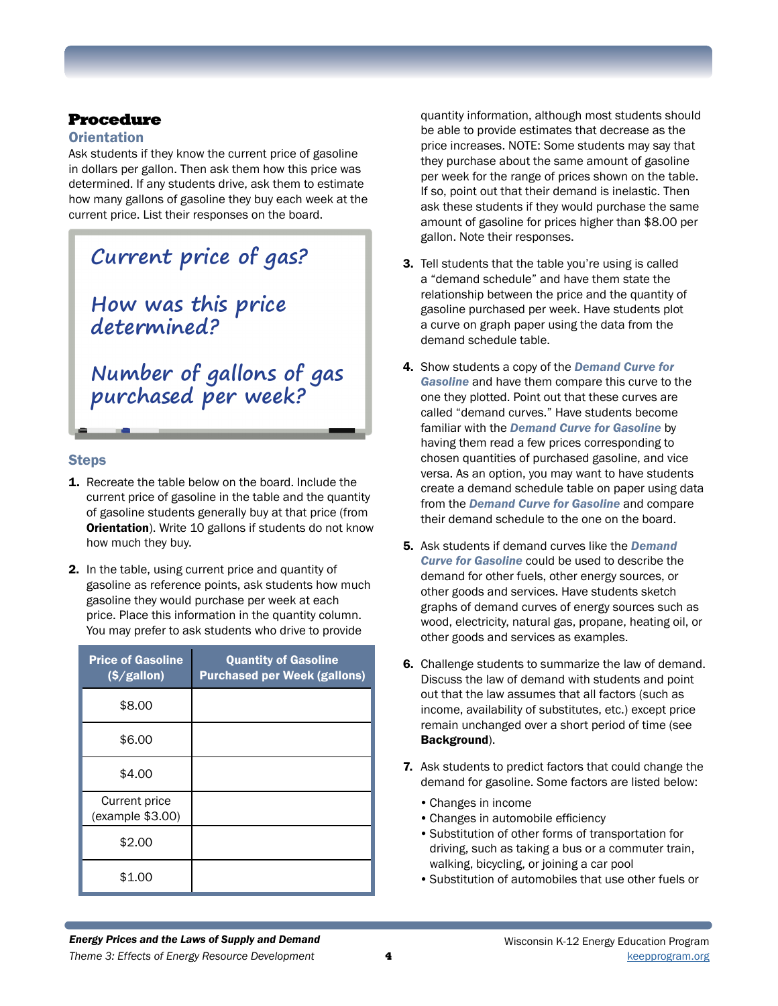# Procedure

### **Orientation**

Ask students if they know the current price of gasoline in dollars per gallon. Then ask them how this price was determined. If any students drive, ask them to estimate how many gallons of gasoline they buy each week at the current price. List their responses on the board.

# **Current price of gas? How was this price determined?**

**Number of gallons of gas purchased per week?**

### **Steps**

- 1. Recreate the table below on the board. Include the current price of gasoline in the table and the quantity of gasoline students generally buy at that price (from **Orientation**). Write 10 gallons if students do not know how much they buy.
- 2. In the table, using current price and quantity of gasoline as reference points, ask students how much gasoline they would purchase per week at each price. Place this information in the quantity column. You may prefer to ask students who drive to provide

| <b>Price of Gasoline</b><br>(S/gallon) | <b>Quantity of Gasoline</b><br><b>Purchased per Week (gallons)</b> |
|----------------------------------------|--------------------------------------------------------------------|
| \$8.00                                 |                                                                    |
| \$6.00                                 |                                                                    |
| \$4.00                                 |                                                                    |
| Current price<br>(example \$3.00)      |                                                                    |
| \$2.00                                 |                                                                    |
| \$1.00                                 |                                                                    |

quantity information, although most students should be able to provide estimates that decrease as the price increases. NOTE: Some students may say that they purchase about the same amount of gasoline per week for the range of prices shown on the table. If so, point out that their demand is inelastic. Then ask these students if they would purchase the same amount of gasoline for prices higher than \$8.00 per gallon. Note their responses.

- 3. Tell students that the table you're using is called a "demand schedule" and have them state the relationship between the price and the quantity of gasoline purchased per week. Have students plot a curve on graph paper using the data from the demand schedule table.
- 4. Show students a copy of the *Demand Curve for Gasoline* and have them compare this curve to the one they plotted. Point out that these curves are called "demand curves." Have students become familiar with the *Demand Curve for Gasoline* by having them read a few prices corresponding to chosen quantities of purchased gasoline, and vice versa. As an option, you may want to have students create a demand schedule table on paper using data from the *Demand Curve for Gasoline* and compare their demand schedule to the one on the board.
- 5. Ask students if demand curves like the *Demand Curve for Gasoline* could be used to describe the demand for other fuels, other energy sources, or other goods and services. Have students sketch graphs of demand curves of energy sources such as wood, electricity, natural gas, propane, heating oil, or other goods and services as examples.
- 6. Challenge students to summarize the law of demand. Discuss the law of demand with students and point out that the law assumes that all factors (such as income, availability of substitutes, etc.) except price remain unchanged over a short period of time (see Background).
- 7. Ask students to predict factors that could change the demand for gasoline. Some factors are listed below:
	- •Changes in income
	- •Changes in automobile efficiency
	- •Substitution of other forms of transportation for driving, such as taking a bus or a commuter train, walking, bicycling, or joining a car pool
	- •Substitution of automobiles that use other fuels or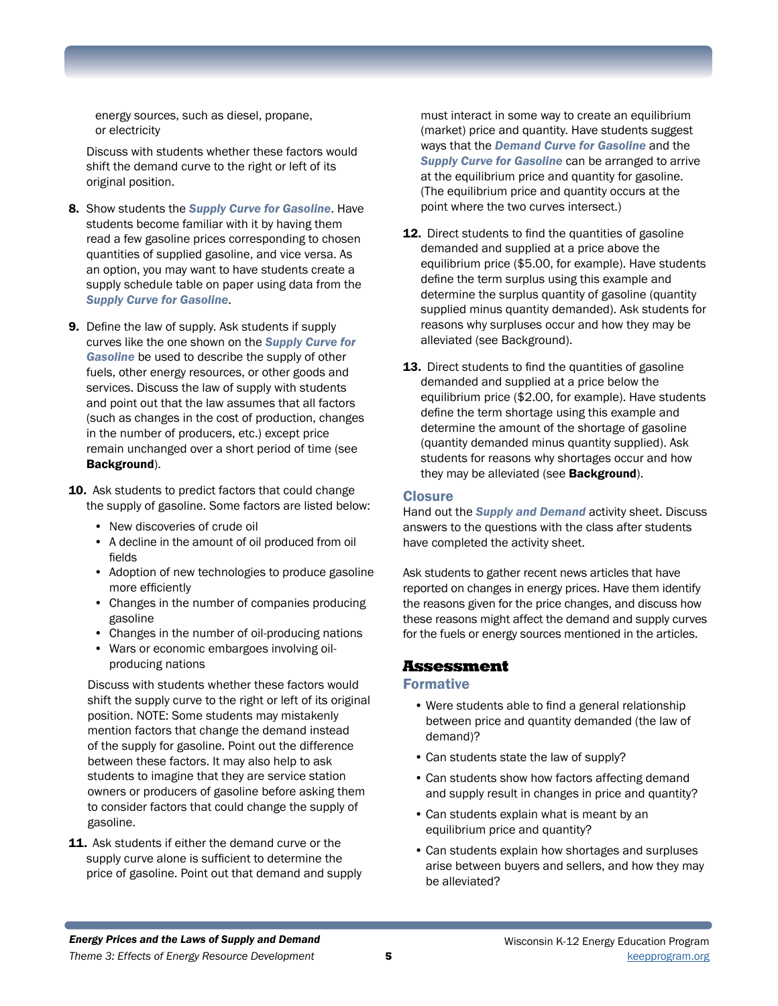energy sources, such as diesel, propane, or electricity

Discuss with students whether these factors would shift the demand curve to the right or left of its original position.

- 8. Show students the *Supply Curve for Gasoline*. Have students become familiar with it by having them read a few gasoline prices corresponding to chosen quantities of supplied gasoline, and vice versa. As an option, you may want to have students create a supply schedule table on paper using data from the *Supply Curve for Gasoline*.
- 9. Define the law of supply. Ask students if supply curves like the one shown on the *Supply Curve for Gasoline* be used to describe the supply of other fuels, other energy resources, or other goods and services. Discuss the law of supply with students and point out that the law assumes that all factors (such as changes in the cost of production, changes in the number of producers, etc.) except price remain unchanged over a short period of time (see Background).
- 10. Ask students to predict factors that could change the supply of gasoline. Some factors are listed below:
	- New discoveries of crude oil
	- A decline in the amount of oil produced from oil fields
	- Adoption of new technologies to produce gasoline more efficiently
	- Changes in the number of companies producing gasoline
	- Changes in the number of oil-producing nations
	- Wars or economic embargoes involving oilproducing nations

Discuss with students whether these factors would shift the supply curve to the right or left of its original position. NOTE: Some students may mistakenly mention factors that change the demand instead of the supply for gasoline. Point out the difference between these factors. It may also help to ask students to imagine that they are service station owners or producers of gasoline before asking them to consider factors that could change the supply of gasoline.

11. Ask students if either the demand curve or the supply curve alone is sufficient to determine the price of gasoline. Point out that demand and supply must interact in some way to create an equilibrium (market) price and quantity. Have students suggest ways that the *Demand Curve for Gasoline* and the *Supply Curve for Gasoline* can be arranged to arrive at the equilibrium price and quantity for gasoline. (The equilibrium price and quantity occurs at the point where the two curves intersect.)

- 12. Direct students to find the quantities of gasoline demanded and supplied at a price above the equilibrium price (\$5.00, for example). Have students define the term surplus using this example and determine the surplus quantity of gasoline (quantity supplied minus quantity demanded). Ask students for reasons why surpluses occur and how they may be alleviated (see Background).
- 13. Direct students to find the quantities of gasoline demanded and supplied at a price below the equilibrium price (\$2.00, for example). Have students define the term shortage using this example and determine the amount of the shortage of gasoline (quantity demanded minus quantity supplied). Ask students for reasons why shortages occur and how they may be alleviated (see **Background**).

### **Closure**

Hand out the *Supply and Demand* activity sheet. Discuss answers to the questions with the class after students have completed the activity sheet.

Ask students to gather recent news articles that have reported on changes in energy prices. Have them identify the reasons given for the price changes, and discuss how these reasons might affect the demand and supply curves for the fuels or energy sources mentioned in the articles.

### Assessment

#### Formative

- Were students able to find a general relationship between price and quantity demanded (the law of demand)?
- Can students state the law of supply?
- Can students show how factors affecting demand and supply result in changes in price and quantity?
- Can students explain what is meant by an equilibrium price and quantity?
- Can students explain how shortages and surpluses arise between buyers and sellers, and how they may be alleviated?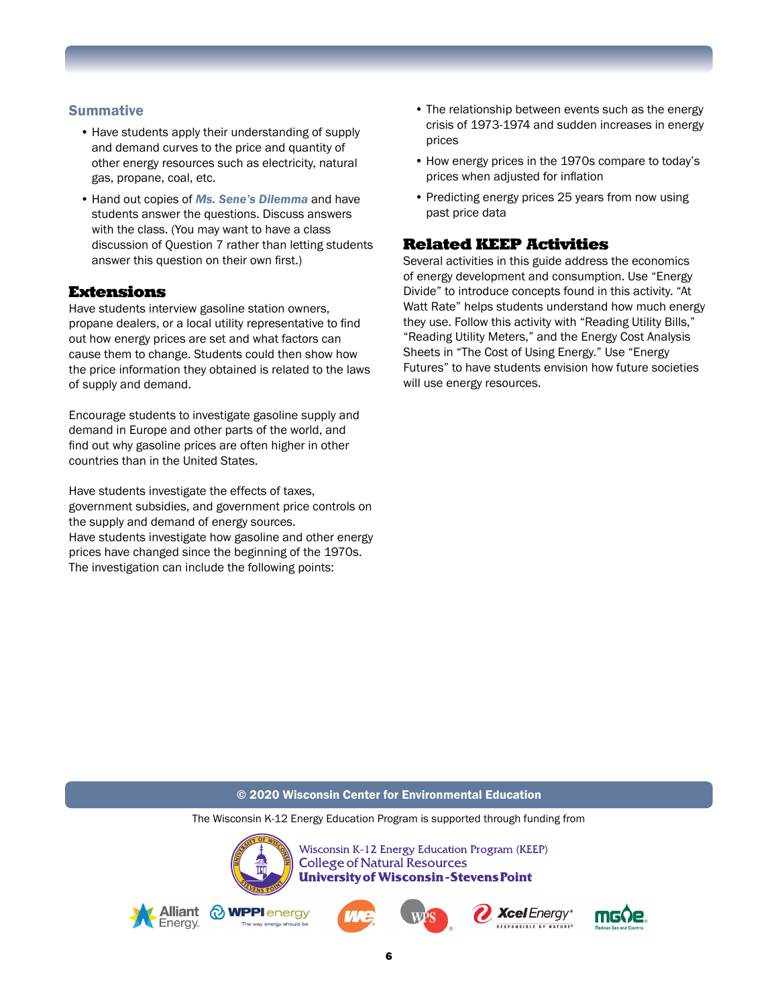### **Summative**

- Have students apply their understanding of supply and demand curves to the price and quantity of other energy resources such as electricity, natural gas, propane, coal, etc.
- Hand out copies of *Ms. Sene's Dilemma* and have students answer the questions. Discuss answers with the class. (You may want to have a class discussion of Question 7 rather than letting students answer this question on their own first.)

### Extensions

Have students interview gasoline station owners, propane dealers, or a local utility representative to find out how energy prices are set and what factors can cause them to change. Students could then show how the price information they obtained is related to the laws of supply and demand.

Encourage students to investigate gasoline supply and demand in Europe and other parts of the world, and find out why gasoline prices are often higher in other countries than in the United States.

Have students investigate the effects of taxes, government subsidies, and government price controls on the supply and demand of energy sources. Have students investigate how gasoline and other energy prices have changed since the beginning of the 1970s. The investigation can include the following points:

- The relationship between events such as the energy crisis of 1973-1974 and sudden increases in energy prices
- How energy prices in the 1970s compare to today's prices when adjusted for inflation
- Predicting energy prices 25 years from now using past price data

### Related KEEP Activities

Several activities in this guide address the economics of energy development and consumption. Use "Energy Divide" to introduce concepts found in this activity. "At Watt Rate" helps students understand how much energy they use. Follow this activity with "Reading Utility Bills," "Reading Utility Meters," and the Energy Cost Analysis Sheets in "The Cost of Using Energy." Use "Energy Futures" to have students envision how future societies will use energy resources.

#### © 2020 Wisconsin Center for Environmental Education

The Wisconsin K-12 Energy Education Program is supported through funding from



Wisconsin K-12 Energy Education Program (KEEP) **College of Natural Resources University of Wisconsin-Stevens Point** 









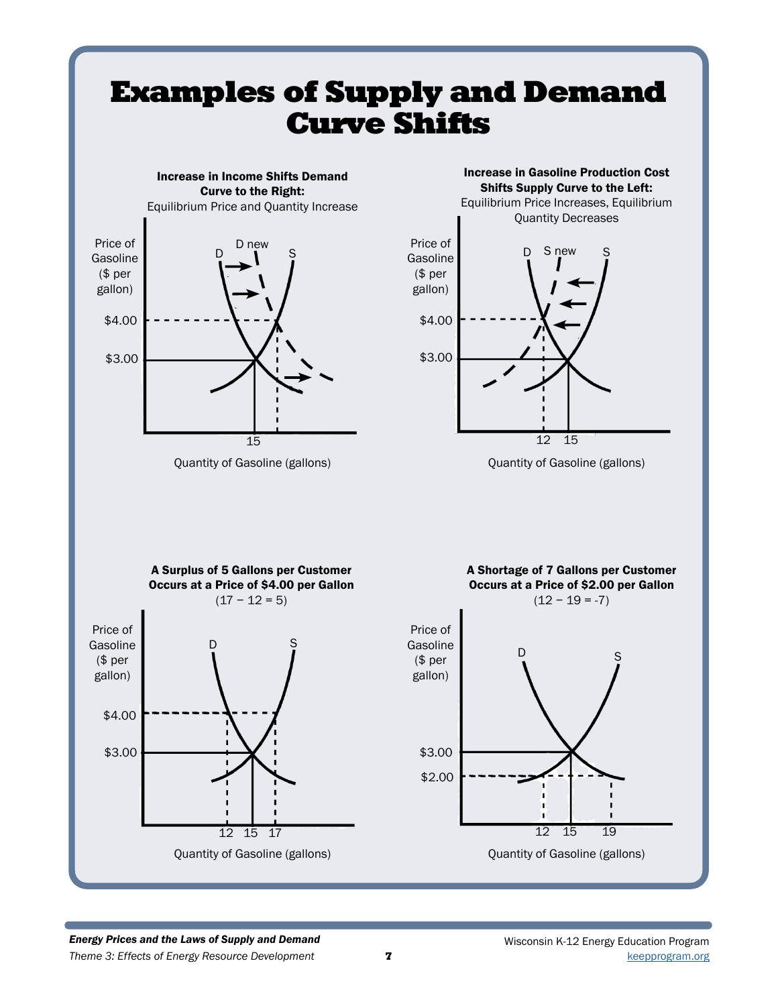

#### *Theme 3: Effects of Energy Resource Development* [keepprogram.org](http://keepprogram.org) *Energy Prices and the Laws of Supply and Demand*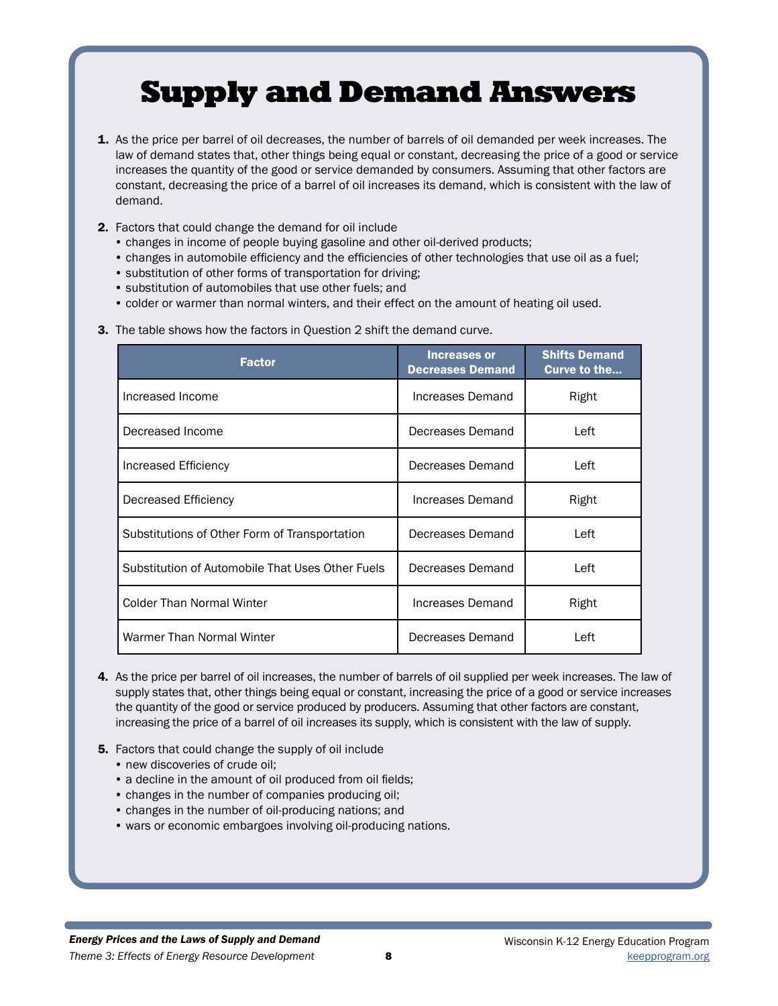# Supply and Demand Answers

- 1. As the price per barrel of oil decreases, the number of barrels of oil demanded per week increases. The law of demand states that, other things being equal or constant, decreasing the price of a good or service increases the quantity of the good or service demanded by consumers. Assuming that other factors are constant, decreasing the price of a barrel of oil increases its demand, which is consistent with the law of demand.
- 2. Factors that could change the demand for oil include
	- changes in income of people buying gasoline and other oil-derived products;
	- changes in automobile efficiency and the efficiencies of other technologies that use oil as a fuel;
	- substitution of other forms of transportation for driving;
	- substitution of automobiles that use other fuels; and
	- colder or warmer than normal winters, and their effect on the amount of heating oil used.

|  | 3. The table shows how the factors in Question 2 shift the demand curve. |  |  |  |  |
|--|--------------------------------------------------------------------------|--|--|--|--|
|--|--------------------------------------------------------------------------|--|--|--|--|

| <b>Factor</b>                                    | <b>Increases or</b><br><b>Decreases Demand</b> | <b>Shifts Demand</b><br>Curve to the |
|--------------------------------------------------|------------------------------------------------|--------------------------------------|
| Increased Income                                 | Increases Demand                               | Right                                |
| Decreased Income                                 | Decreases Demand                               | Left                                 |
| Increased Efficiency                             | Decreases Demand                               | Left                                 |
| Decreased Efficiency                             | Increases Demand                               | Right                                |
| Substitutions of Other Form of Transportation    | Decreases Demand                               | Left                                 |
| Substitution of Automobile That Uses Other Fuels | Decreases Demand                               | Left                                 |
| <b>Colder Than Normal Winter</b>                 | Increases Demand                               | Right                                |
| Warmer Than Normal Winter                        | Decreases Demand                               | Left                                 |

- 4. As the price per barrel of oil increases, the number of barrels of oil supplied per week increases. The law of supply states that, other things being equal or constant, increasing the price of a good or service increases the quantity of the good or service produced by producers. Assuming that other factors are constant, increasing the price of a barrel of oil increases its supply, which is consistent with the law of supply.
- 5. Factors that could change the supply of oil include
	- new discoveries of crude oil:
	- a decline in the amount of oil produced from oil fields;
	- changes in the number of companies producing oil;
	- changes in the number of oil-producing nations; and
	- wars or economic embargoes involving oil-producing nations.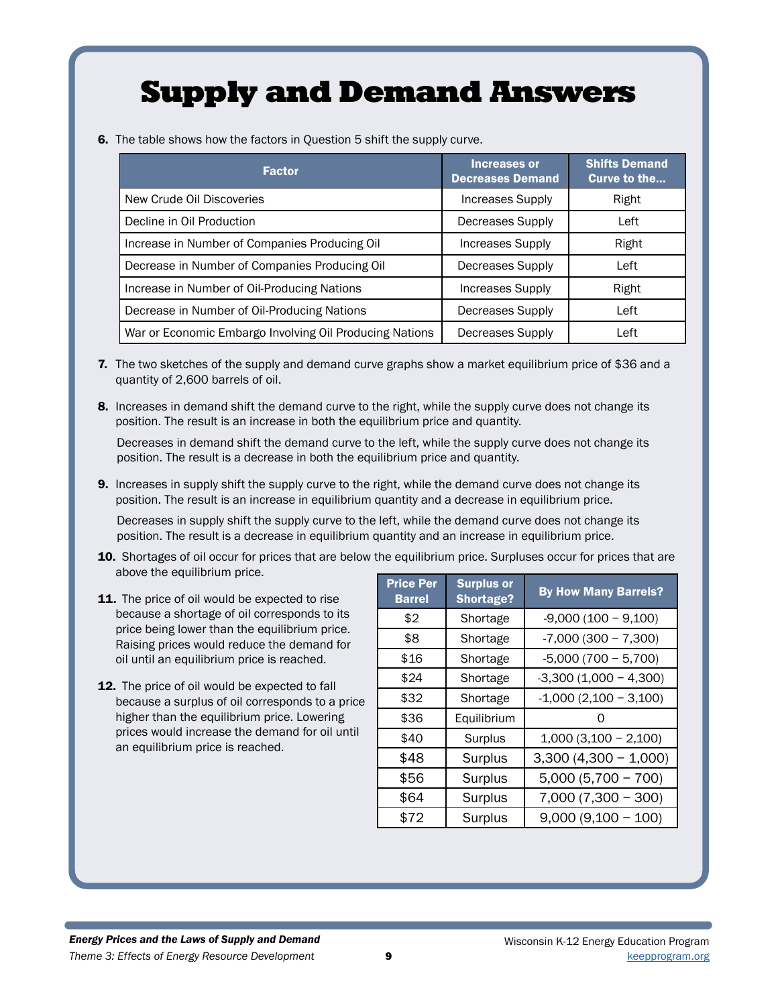# Supply and Demand Answers

6. The table shows how the factors in Question 5 shift the supply curve.

| <b>Factor</b>                                           | <b>Increases or</b><br><b>Decreases Demand</b> | <b>Shifts Demand</b><br>Curve to the |
|---------------------------------------------------------|------------------------------------------------|--------------------------------------|
| New Crude Oil Discoveries                               | Increases Supply                               | Right                                |
| Decline in Oil Production                               | <b>Decreases Supply</b>                        | Left                                 |
| Increase in Number of Companies Producing Oil           | Increases Supply                               | Right                                |
| Decrease in Number of Companies Producing Oil           | Decreases Supply                               | Left                                 |
| Increase in Number of Oil-Producing Nations             | <b>Increases Supply</b>                        | Right                                |
| Decrease in Number of Oil-Producing Nations             | <b>Decreases Supply</b>                        | Left                                 |
| War or Economic Embargo Involving Oil Producing Nations | <b>Decreases Supply</b>                        | Left                                 |

- 7. The two sketches of the supply and demand curve graphs show a market equilibrium price of \$36 and a quantity of 2,600 barrels of oil.
- 8. Increases in demand shift the demand curve to the right, while the supply curve does not change its position. The result is an increase in both the equilibrium price and quantity.

Decreases in demand shift the demand curve to the left, while the supply curve does not change its position. The result is a decrease in both the equilibrium price and quantity.

**9.** Increases in supply shift the supply curve to the right, while the demand curve does not change its position. The result is an increase in equilibrium quantity and a decrease in equilibrium price.

Decreases in supply shift the supply curve to the left, while the demand curve does not change its position. The result is a decrease in equilibrium quantity and an increase in equilibrium price.

- 10. Shortages of oil occur for prices that are below the equilibrium price. Surpluses occur for prices that are above the equilibrium price.
- 11. The price of oil would be expected to rise because a shortage of oil corresponds to its price being lower than the equilibrium price. Raising prices would reduce the demand for oil until an equilibrium price is reached.
- 12. The price of oil would be expected to fall because a surplus of oil corresponds to a price higher than the equilibrium price. Lowering prices would increase the demand for oil until an equilibrium price is reached.

| <b>Price Per</b><br><b>Barrel</b> | <b>Surplus or</b><br><b>Shortage?</b> | <b>By How Many Barrels?</b> |
|-----------------------------------|---------------------------------------|-----------------------------|
| \$2                               | Shortage                              | $-9,000(100 - 9,100)$       |
| \$8                               | Shortage                              | $-7,000(300 - 7,300)$       |
| \$16                              | Shortage                              | $-5,000(700 - 5,700)$       |
| \$24                              | Shortage                              | $-3,300(1,000 - 4,300)$     |
| \$32                              | Shortage                              | $-1,000(2,100 - 3,100)$     |
| \$36                              | Equilibrium                           |                             |
| \$40                              | Surplus                               | $1,000$ $(3,100 - 2,100)$   |
| \$48                              | Surplus                               | $3,300(4,300 - 1,000)$      |
| \$56                              | Surplus                               | $5,000(5,700 - 700)$        |
| \$64                              | Surplus                               | $7,000(7,300 - 300)$        |
| \$72                              | Surplus                               | $9,000(9,100 - 100)$        |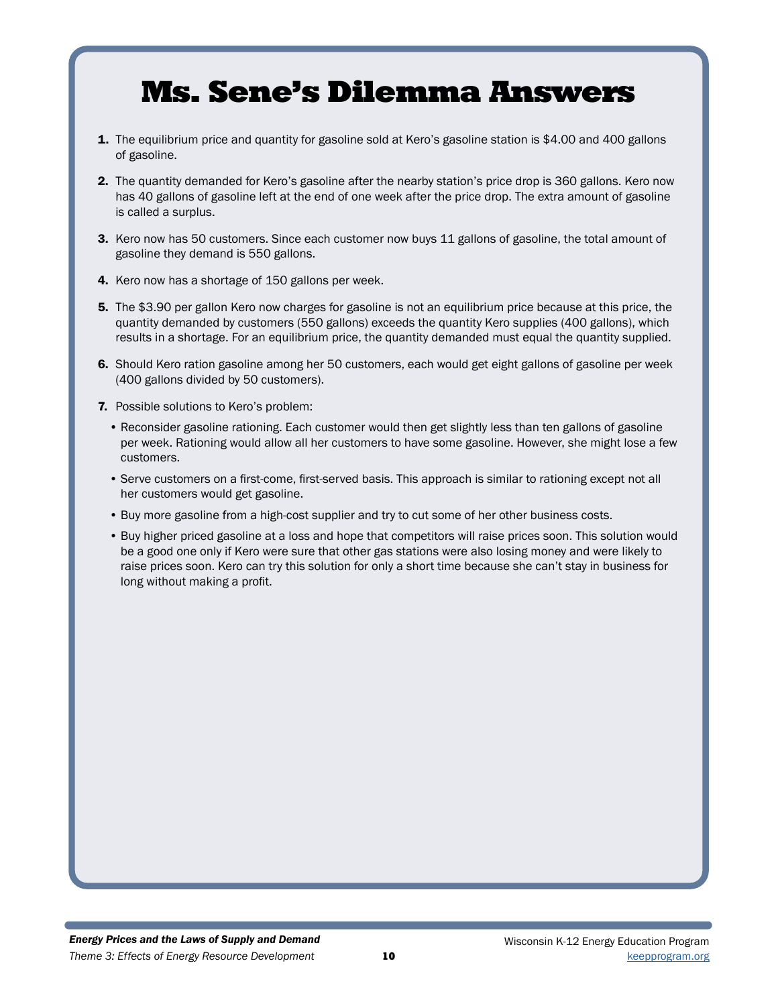# Ms. Sene's Dilemma Answers

- **1.** The equilibrium price and quantity for gasoline sold at Kero's gasoline station is \$4.00 and 400 gallons of gasoline.
- 2. The quantity demanded for Kero's gasoline after the nearby station's price drop is 360 gallons. Kero now has 40 gallons of gasoline left at the end of one week after the price drop. The extra amount of gasoline is called a surplus.
- 3. Kero now has 50 customers. Since each customer now buys 11 gallons of gasoline, the total amount of gasoline they demand is 550 gallons.
- 4. Kero now has a shortage of 150 gallons per week.
- 5. The \$3.90 per gallon Kero now charges for gasoline is not an equilibrium price because at this price, the quantity demanded by customers (550 gallons) exceeds the quantity Kero supplies (400 gallons), which results in a shortage. For an equilibrium price, the quantity demanded must equal the quantity supplied.
- 6. Should Kero ration gasoline among her 50 customers, each would get eight gallons of gasoline per week (400 gallons divided by 50 customers).
- 7. Possible solutions to Kero's problem:
	- Reconsider gasoline rationing. Each customer would then get slightly less than ten gallons of gasoline per week. Rationing would allow all her customers to have some gasoline. However, she might lose a few customers.
	- Serve customers on a first-come, first-served basis. This approach is similar to rationing except not all her customers would get gasoline.
	- Buy more gasoline from a high-cost supplier and try to cut some of her other business costs.
	- Buy higher priced gasoline at a loss and hope that competitors will raise prices soon. This solution would be a good one only if Kero were sure that other gas stations were also losing money and were likely to raise prices soon. Kero can try this solution for only a short time because she can't stay in business for long without making a profit.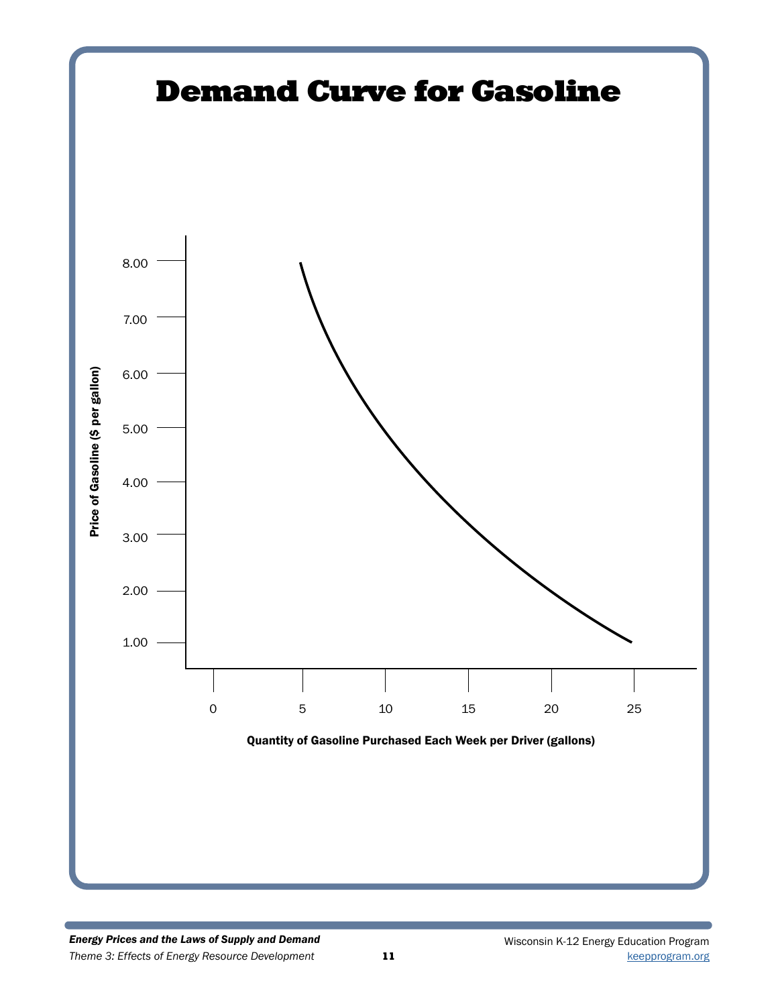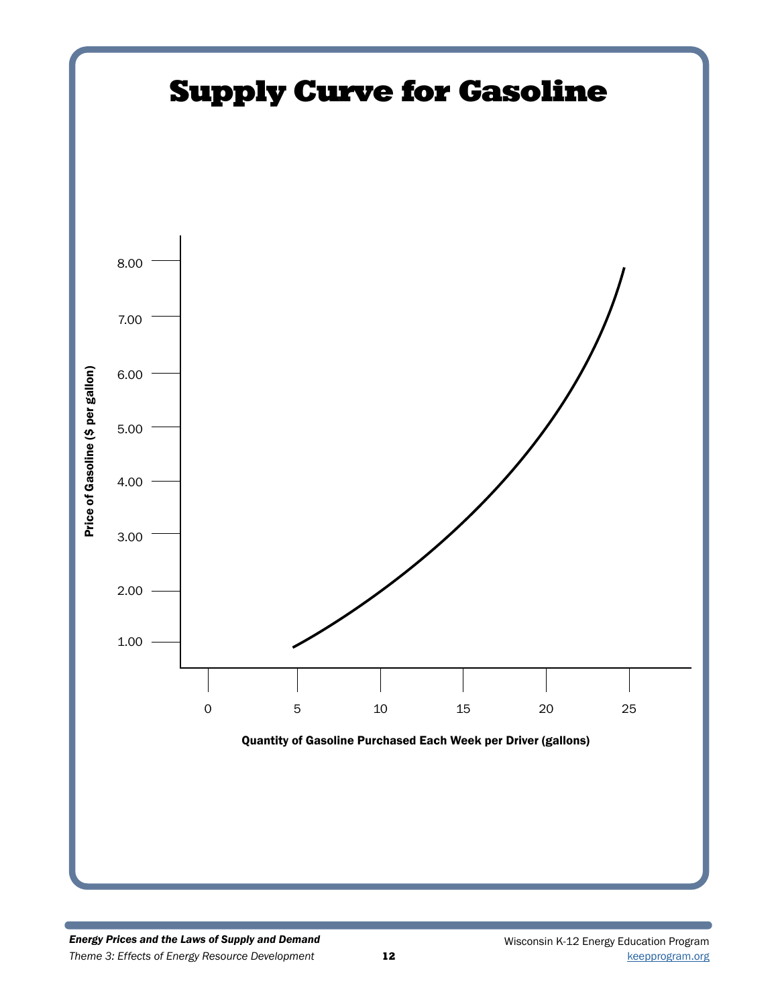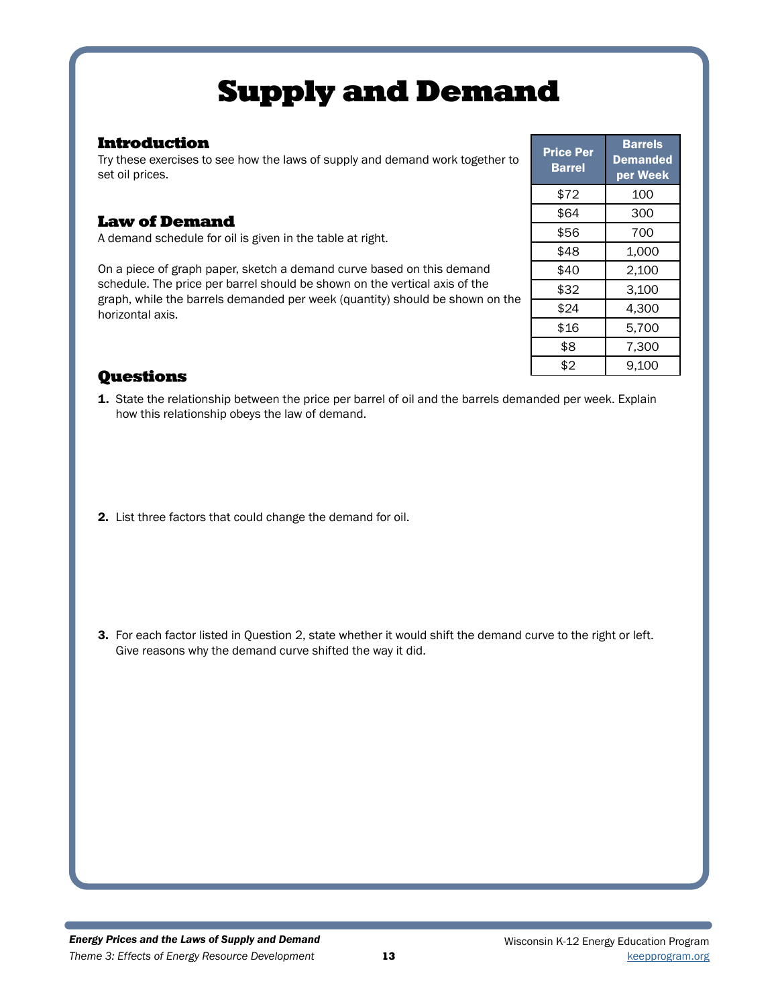# Supply and Demand

## Introduction

Try these exercises to see how the laws of supply and demand work together to set oil prices.

# Law of Demand

A demand schedule for oil is given in the table at right.

On a piece of graph paper, sketch a demand curve based on this demand schedule. The price per barrel should be shown on the vertical axis of the graph, while the barrels demanded per week (quantity) should be shown on the horizontal axis.

| <b>Price Per</b><br>Barrel | Barrels<br><b>Demanded</b><br>per Week |
|----------------------------|----------------------------------------|
| \$72                       | 100                                    |
| \$64                       | 300                                    |
| \$56                       | 700                                    |
| \$48                       | 1,000                                  |
| \$40                       | 2,100                                  |
| \$32                       | 3,100                                  |
| \$24                       | 4,300                                  |
| \$16                       | 5,700                                  |
| \$8                        | 7,300                                  |
| \$2                        | 9.100                                  |

# **Questions**

- 1. State the relationship between the price per barrel of oil and the barrels demanded per week. Explain how this relationship obeys the law of demand.
- 2. List three factors that could change the demand for oil.

3. For each factor listed in Question 2, state whether it would shift the demand curve to the right or left. Give reasons why the demand curve shifted the way it did.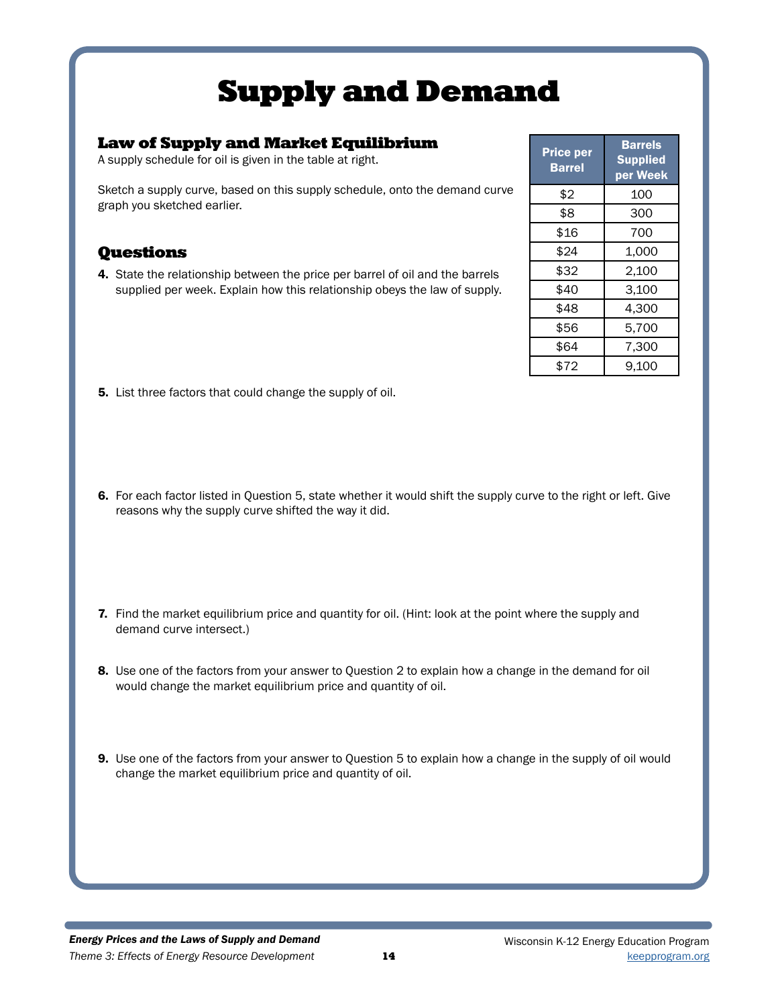# Supply and Demand

## Law of Supply and Market Equilibrium

A supply schedule for oil is given in the table at right.

Sketch a supply curve, based on this supply schedule, onto the demand curve graph you sketched earlier.

## **Questions**

4. State the relationship between the price per barrel of oil and the barrels supplied per week. Explain how this relationship obeys the law of supply.

| <b>Price per</b><br>Barrel | <b>Barrels</b><br><b>Supplied</b><br>per Week |
|----------------------------|-----------------------------------------------|
| \$2                        | 100                                           |
| \$8                        | 300                                           |
| \$16                       | 700                                           |
| \$24                       | 1,000                                         |
| \$32                       | 2,100                                         |
| \$40                       | 3,100                                         |
| \$48                       | 4,300                                         |
| \$56                       | 5,700                                         |
| \$64                       | 7,300                                         |
| \$72                       | 9,100                                         |

- 5. List three factors that could change the supply of oil.
- 6. For each factor listed in Question 5, state whether it would shift the supply curve to the right or left. Give reasons why the supply curve shifted the way it did.
- 7. Find the market equilibrium price and quantity for oil. (Hint: look at the point where the supply and demand curve intersect.)
- 8. Use one of the factors from your answer to Question 2 to explain how a change in the demand for oil would change the market equilibrium price and quantity of oil.
- 9. Use one of the factors from your answer to Question 5 to explain how a change in the supply of oil would change the market equilibrium price and quantity of oil.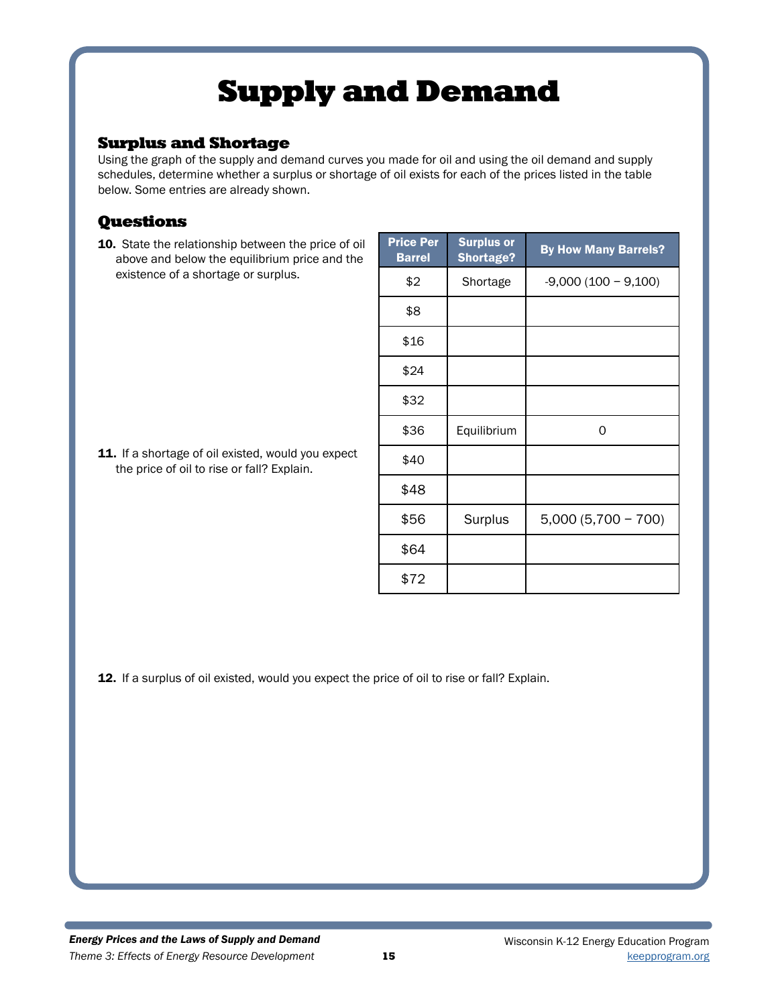# Supply and Demand

## Surplus and Shortage

Using the graph of the supply and demand curves you made for oil and using the oil demand and supply schedules, determine whether a surplus or shortage of oil exists for each of the prices listed in the table below. Some entries are already shown.

# Questions

10. State the relationship between the price of oil above and below the equilibrium price and the existence of a shortage or surplus.

11. If a shortage of oil existed, would you expect the price of oil to rise or fall? Explain.

| <b>Price Per</b><br><b>Barrel</b> | <b>Surplus or</b><br><b>Shortage?</b> | <b>By How Many Barrels?</b> |
|-----------------------------------|---------------------------------------|-----------------------------|
| \$2                               | Shortage                              | $-9,000(100 - 9,100)$       |
| \$8                               |                                       |                             |
| \$16                              |                                       |                             |
| \$24                              |                                       |                             |
| \$32                              |                                       |                             |
| \$36                              | Equilibrium                           | 0                           |
| \$40                              |                                       |                             |
| \$48                              |                                       |                             |
| \$56                              | Surplus                               | $5,000(5,700 - 700)$        |
| \$64                              |                                       |                             |
| \$72                              |                                       |                             |

12. If a surplus of oil existed, would you expect the price of oil to rise or fall? Explain.